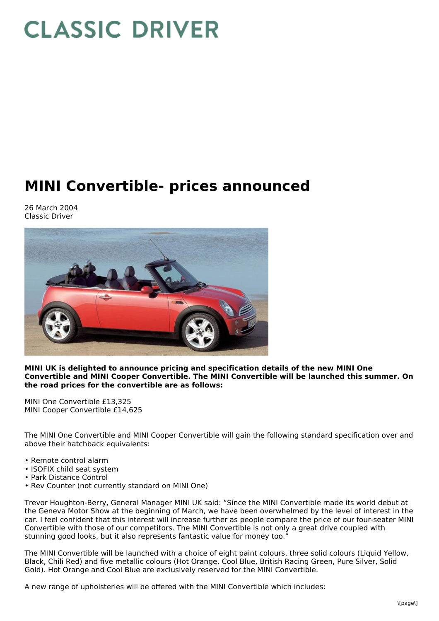## **CLASSIC DRIVER**

## **MINI Convertible- prices announced**

26 March 2004 Classic Driver



**MINI UK is delighted to announce pricing and specification details of the new MINI One Convertible and MINI Cooper Convertible. The MINI Convertible will be launched this summer. On the road prices for the convertible are as follows:**

MINI One Convertible £13,325 MINI Cooper Convertible £14,625

The MINI One Convertible and MINI Cooper Convertible will gain the following standard specification over and above their hatchback equivalents:

- Remote control alarm
- ISOFIX child seat system
- Park Distance Control
- Rev Counter (not currently standard on MINI One)

Trevor Houghton-Berry, General Manager MINI UK said: "Since the MINI Convertible made its world debut at the Geneva Motor Show at the beginning of March, we have been overwhelmed by the level of interest in the car. I feel confident that this interest will increase further as people compare the price of our four-seater MINI Convertible with those of our competitors. The MINI Convertible is not only a great drive coupled with stunning good looks, but it also represents fantastic value for money too."

The MINI Convertible will be launched with a choice of eight paint colours, three solid colours (Liquid Yellow, Black, Chili Red) and five metallic colours (Hot Orange, Cool Blue, British Racing Green, Pure Silver, Solid Gold). Hot Orange and Cool Blue are exclusively reserved for the MINI Convertible.

A new range of upholsteries will be offered with the MINI Convertible which includes: